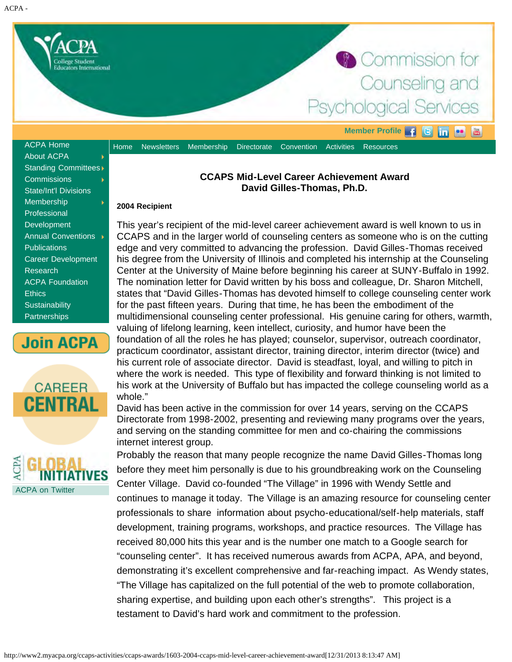<span id="page-0-0"></span>

[About ACPA](http://www2.myacpa.org/about-acpa) [Standing Committees](http://www2.myacpa.org/standing-committees) **[Commissions](http://www2.myacpa.org/commissions)** [State/Int'l Divisions](http://www2.myacpa.org/stateintl-divisions) [Membership](http://www2.myacpa.org/membership) [Professional](http://www2.myacpa.org/professional-development-home) **[Development](http://www2.myacpa.org/professional-development-home)** [Annual Conventions](http://www2.myacpa.org/annual-conventions) **[Publications](http://www2.myacpa.org/publications)** [Career Development](http://www2.myacpa.org/career-development) [Research](http://www2.myacpa.org/research) [ACPA Foundation](http://www.acpafoundation.org/) **[Ethics](http://www2.myacpa.org/acpa-ethics) [Sustainability](http://www2.myacpa.org/sustainability-home) [Partnerships](http://www2.myacpa.org/partnerships)** 







## **CCAPS Mid-Level Career Achievement Award David Gilles-Thomas, Ph.D.**

## **2004 Recipient**

This year's recipient of the mid-level career achievement award is well known to us in CCAPS and in the larger world of counseling centers as someone who is on the cutting edge and very committed to advancing the profession. David Gilles-Thomas received his degree from the University of Illinois and completed his internship at the Counseling Center at the University of Maine before beginning his career at SUNY-Buffalo in 1992. The nomination letter for David written by his boss and colleague, Dr. Sharon Mitchell, states that "David Gilles-Thomas has devoted himself to college counseling center work for the past fifteen years. During that time, he has been the embodiment of the multidimensional counseling center professional. His genuine caring for others, warmth, valuing of lifelong learning, keen intellect, curiosity, and humor have been the foundation of all the roles he has played; counselor, supervisor, outreach coordinator, practicum coordinator, assistant director, training director, interim director (twice) and his current role of associate director. David is steadfast, loyal, and willing to pitch in where the work is needed. This type of flexibility and forward thinking is not limited to his work at the University of Buffalo but has impacted the college counseling world as a whole."

David has been active in the commission for over 14 years, serving on the CCAPS Directorate from 1998-2002, presenting and reviewing many programs over the years, and serving on the standing committee for men and co-chairing the commissions internet interest group.

Probably the reason that many people recognize the name David Gilles-Thomas long before they meet him personally is due to his groundbreaking work on the Counseling Center Village. David co-founded "The Village" in 1996 with Wendy Settle and continues to manage it today. The Village is an amazing resource for counseling center professionals to share information about psycho-educational/self-help materials, staff development, training programs, workshops, and practice resources. The Village has received 80,000 hits this year and is the number one match to a Google search for "counseling center". It has received numerous awards from ACPA, APA, and beyond, demonstrating it's excellent comprehensive and far-reaching impact. As Wendy states, "The Village has capitalized on the full potential of the web to promote collaboration, sharing expertise, and building upon each other's strengths". This project is a testament to David's hard work and commitment to the profession.